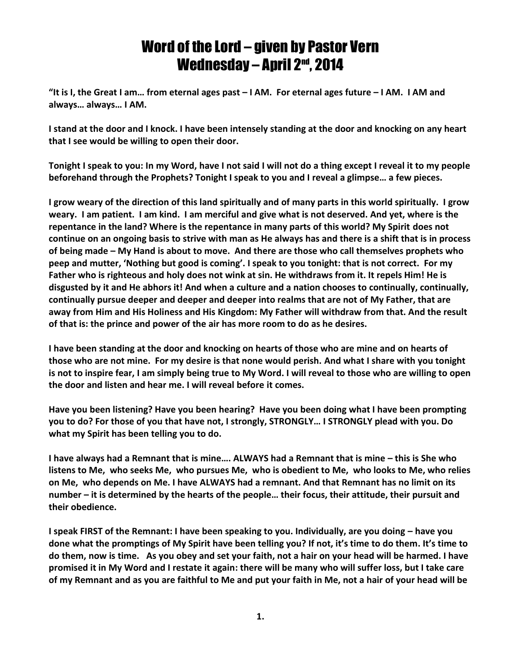## Word of the Lord – given by Pastor Vern Wednesday – April 2<sup>nd</sup>, 2014

**"It is I, the Great I am… from eternal ages past – I AM. For eternal ages future – I AM. I AM and always… always… I AM.** 

**I stand at the door and I knock. I have been intensely standing at the door and knocking on any heart that I see would be willing to open their door.** 

**Tonight I speak to you: In my Word, have I not said I will not do a thing except I reveal it to my people beforehand through the Prophets? Tonight I speak to you and I reveal a glimpse… a few pieces.** 

**I grow weary of the direction of this land spiritually and of many parts in this world spiritually. I grow weary. I am patient. I am kind. I am merciful and give what is not deserved. And yet, where is the repentance in the land? Where is the repentance in many parts of this world? My Spirit does not continue on an ongoing basis to strive with man as He always has and there is a shift that is in process of being made – My Hand is about to move. And there are those who call themselves prophets who peep and mutter, 'Nothing but good is coming'. I speak to you tonight: that is not correct. For my Father who is righteous and holy does not wink at sin. He withdraws from it. It repels Him! He is disgusted by it and He abhors it! And when a culture and a nation chooses to continually, continually, continually pursue deeper and deeper and deeper into realms that are not of My Father, that are away from Him and His Holiness and His Kingdom: My Father will withdraw from that. And the result of that is: the prince and power of the air has more room to do as he desires.** 

**I have been standing at the door and knocking on hearts of those who are mine and on hearts of those who are not mine. For my desire is that none would perish. And what I share with you tonight is not to inspire fear, I am simply being true to My Word. I will reveal to those who are willing to open the door and listen and hear me. I will reveal before it comes.** 

**Have you been listening? Have you been hearing? Have you been doing what I have been prompting you to do? For those of you that have not, I strongly, STRONGLY… I STRONGLY plead with you. Do what my Spirit has been telling you to do.** 

**I have always had a Remnant that is mine…. ALWAYS had a Remnant that is mine – this is She who listens to Me, who seeks Me, who pursues Me, who is obedient to Me, who looks to Me, who relies on Me, who depends on Me. I have ALWAYS had a remnant. And that Remnant has no limit on its number – it is determined by the hearts of the people… their focus, their attitude, their pursuit and their obedience.**

**I** speak FIRST of the Remnant: I have been speaking to you. Individually, are you doing – have you **done what the promptings of My Spirit have been telling you? If not, it's time to do them. It's time to do them, now is time. As you obey and set your faith, not a hair on your head will be harmed. I have promised it in My Word and I restate it again: there will be many who will suffer loss, but I take care of my Remnant and as you are faithful to Me and put your faith in Me, not a hair of your head will be**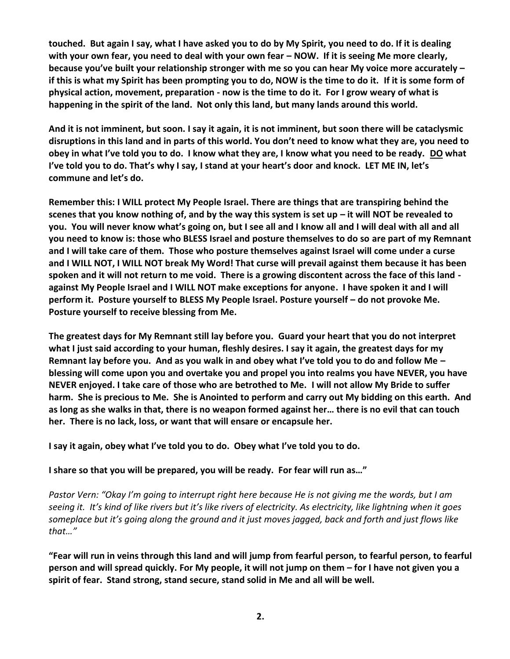**touched. But again I say, what I have asked you to do by My Spirit, you need to do. If it is dealing with your own fear, you need to deal with your own fear – NOW. If it is seeing Me more clearly, because you've built your relationship stronger with me so you can hear My voice more accurately – if this is what my Spirit has been prompting you to do, NOW is the time to do it. If it is some form of physical action, movement, preparation - now is the time to do it. For I grow weary of what is happening in the spirit of the land. Not only this land, but many lands around this world.** 

**And it is not imminent, but soon. I say it again, it is not imminent, but soon there will be cataclysmic disruptions in this land and in parts of this world. You don't need to know what they are, you need to obey in what I've told you to do. I know what they are, I know what you need to be ready. DO what I've told you to do. That's why I say, I stand at your heart's door and knock. LET ME IN, let's commune and let's do.** 

**Remember this: I WILL protect My People Israel. There are things that are transpiring behind the scenes that you know nothing of, and by the way this system is set up – it will NOT be revealed to you. You will never know what's going on, but I see all and I know all and I will deal with all and all you need to know is: those who BLESS Israel and posture themselves to do so are part of my Remnant and I will take care of them. Those who posture themselves against Israel will come under a curse and I WILL NOT, I WILL NOT break My Word! That curse will prevail against them because it has been spoken and it will not return to me void. There is a growing discontent across the face of this land against My People Israel and I WILL NOT make exceptions for anyone. I have spoken it and I will perform it. Posture yourself to BLESS My People Israel. Posture yourself – do not provoke Me. Posture yourself to receive blessing from Me.** 

**The greatest days for My Remnant still lay before you. Guard your heart that you do not interpret what I just said according to your human, fleshly desires. I say it again, the greatest days for my Remnant lay before you. And as you walk in and obey what I've told you to do and follow Me – blessing will come upon you and overtake you and propel you into realms you have NEVER, you have NEVER enjoyed. I take care of those who are betrothed to Me. I will not allow My Bride to suffer harm. She is precious to Me. She is Anointed to perform and carry out My bidding on this earth. And as long as she walks in that, there is no weapon formed against her… there is no evil that can touch her. There is no lack, loss, or want that will ensare or encapsule her.** 

**I say it again, obey what I've told you to do. Obey what I've told you to do.** 

## **I share so that you will be prepared, you will be ready. For fear will run as…"**

*Pastor Vern: "Okay I'm going to interrupt right here because He is not giving me the words, but I am seeing it. It's kind of like rivers but it's like rivers of electricity. As electricity, like lightning when it goes someplace but it's going along the ground and it just moves jagged, back and forth and just flows like that…"*

**"Fear will run in veins through this land and will jump from fearful person, to fearful person, to fearful person and will spread quickly. For My people, it will not jump on them – for I have not given you a spirit of fear. Stand strong, stand secure, stand solid in Me and all will be well.**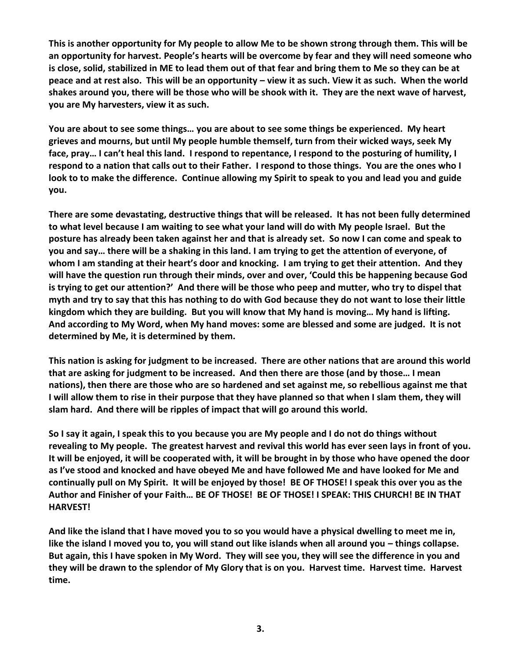**This is another opportunity for My people to allow Me to be shown strong through them. This will be an opportunity for harvest. People's hearts will be overcome by fear and they will need someone who is close, solid, stabilized in ME to lead them out of that fear and bring them to Me so they can be at peace and at rest also. This will be an opportunity – view it as such. View it as such. When the world shakes around you, there will be those who will be shook with it. They are the next wave of harvest, you are My harvesters, view it as such.** 

**You are about to see some things… you are about to see some things be experienced. My heart grieves and mourns, but until My people humble themself, turn from their wicked ways, seek My face, pray… I can't heal this land. I respond to repentance, I respond to the posturing of humility, I respond to a nation that calls out to their Father. I respond to those things. You are the ones who I look to to make the difference. Continue allowing my Spirit to speak to you and lead you and guide you.** 

**There are some devastating, destructive things that will be released. It has not been fully determined to what level because I am waiting to see what your land will do with My people Israel. But the posture has already been taken against her and that is already set. So now I can come and speak to you and say… there will be a shaking in this land. I am trying to get the attention of everyone, of whom I am standing at their heart's door and knocking. I am trying to get their attention. And they will have the question run through their minds, over and over, 'Could this be happening because God is trying to get our attention?' And there will be those who peep and mutter, who try to dispel that myth and try to say that this has nothing to do with God because they do not want to lose their little kingdom which they are building. But you will know that My hand is moving… My hand is lifting. And according to My Word, when My hand moves: some are blessed and some are judged. It is not determined by Me, it is determined by them.** 

**This nation is asking for judgment to be increased. There are other nations that are around this world that are asking for judgment to be increased. And then there are those (and by those… I mean nations), then there are those who are so hardened and set against me, so rebellious against me that I will allow them to rise in their purpose that they have planned so that when I slam them, they will slam hard. And there will be ripples of impact that will go around this world.** 

**So I say it again, I speak this to you because you are My people and I do not do things without revealing to My people. The greatest harvest and revival this world has ever seen lays in front of you. It will be enjoyed, it will be cooperated with, it will be brought in by those who have opened the door as I've stood and knocked and have obeyed Me and have followed Me and have looked for Me and continually pull on My Spirit. It will be enjoyed by those! BE OF THOSE! I speak this over you as the Author and Finisher of your Faith… BE OF THOSE! BE OF THOSE! I SPEAK: THIS CHURCH! BE IN THAT HARVEST!** 

**And like the island that I have moved you to so you would have a physical dwelling to meet me in, like the island I moved you to, you will stand out like islands when all around you – things collapse. But again, this I have spoken in My Word. They will see you, they will see the difference in you and they will be drawn to the splendor of My Glory that is on you. Harvest time. Harvest time. Harvest time.**